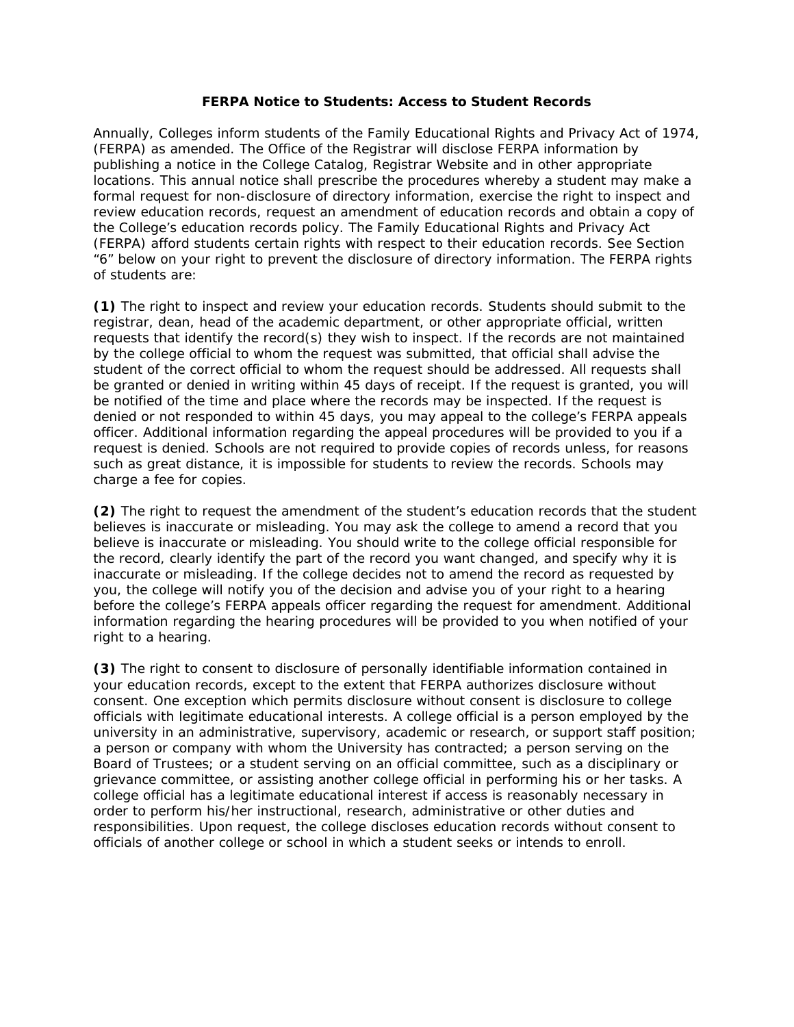## **FERPA Notice to Students: Access to Student Records**

Annually, Colleges inform students of the Family Educational Rights and Privacy Act of 1974, (FERPA) as amended. The Office of the Registrar will disclose FERPA information by publishing a notice in the College Catalog, Registrar Website and in other appropriate locations. This annual notice shall prescribe the procedures whereby a student may make a formal request for non-disclosure of directory information, exercise the right to inspect and review education records, request an amendment of education records and obtain a copy of the College's education records policy. The Family Educational Rights and Privacy Act (FERPA) afford students certain rights with respect to their education records. See Section "6" below on your right to prevent the disclosure of directory information. The FERPA rights of students are:

**(1)** The right to inspect and review your education records. Students should submit to the registrar, dean, head of the academic department, or other appropriate official, written requests that identify the record(s) they wish to inspect. If the records are not maintained by the college official to whom the request was submitted, that official shall advise the student of the correct official to whom the request should be addressed. All requests shall be granted or denied in writing within 45 days of receipt. If the request is granted, you will be notified of the time and place where the records may be inspected. If the request is denied or not responded to within 45 days, you may appeal to the college's FERPA appeals officer. Additional information regarding the appeal procedures will be provided to you if a request is denied. Schools are not required to provide copies of records unless, for reasons such as great distance, it is impossible for students to review the records. Schools may charge a fee for copies.

**(2)** The right to request the amendment of the student's education records that the student believes is inaccurate or misleading. You may ask the college to amend a record that you believe is inaccurate or misleading. You should write to the college official responsible for the record, clearly identify the part of the record you want changed, and specify why it is inaccurate or misleading. If the college decides not to amend the record as requested by you, the college will notify you of the decision and advise you of your right to a hearing before the college's FERPA appeals officer regarding the request for amendment. Additional information regarding the hearing procedures will be provided to you when notified of your right to a hearing.

**(3)** The right to consent to disclosure of personally identifiable information contained in your education records, except to the extent that FERPA authorizes disclosure without consent. One exception which permits disclosure without consent is disclosure to college officials with legitimate educational interests. A college official is a person employed by the university in an administrative, supervisory, academic or research, or support staff position; a person or company with whom the University has contracted; a person serving on the Board of Trustees; or a student serving on an official committee, such as a disciplinary or grievance committee, or assisting another college official in performing his or her tasks. A college official has a legitimate educational interest if access is reasonably necessary in order to perform his/her instructional, research, administrative or other duties and responsibilities. Upon request, the college discloses education records without consent to officials of another college or school in which a student seeks or intends to enroll.